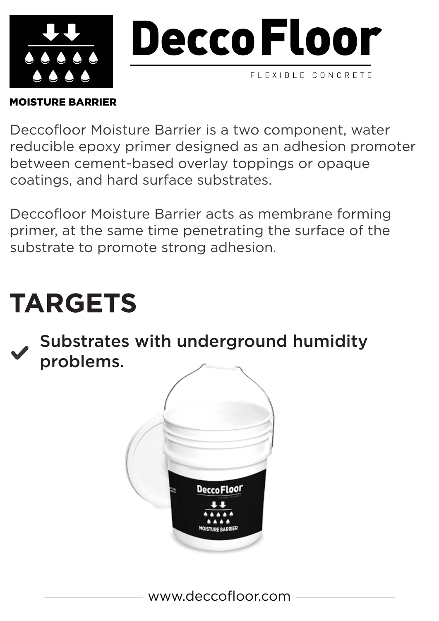

# MOISTURE BARRIER

Deccofloor Moisture Barrier is a two component, water reducible epoxy primer designed as an adhesion promoter between cement-based overlay toppings or opaque coatings, and hard surface substrates.

Deccofloor Moisture Barrier acts as membrane forming primer, at the same time penetrating the surface of the substrate to promote strong adhesion.

# **TARGETS**

Substrates with underground humidity problems.

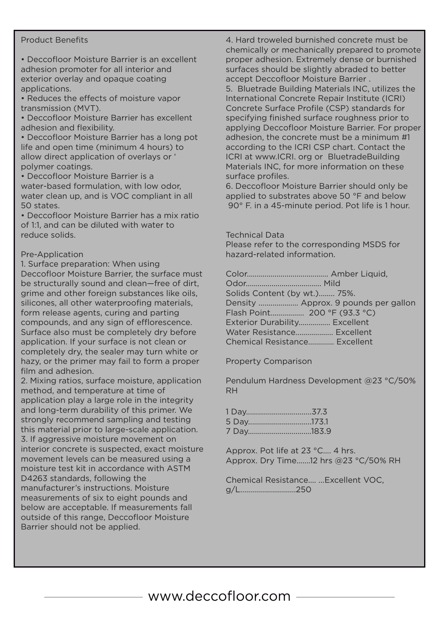#### Product Benefits

• Deccofloor Moisture Barrier is an excellent adhesion promoter for all interior and exterior overlay and opaque coating applications.

• Reduces the effects of moisture vapor transmission (MVT).

• Deccofloor Moisture Barrier has excellent adhesion and flexibility.

• Deccofloor Moisture Barrier has a long pot life and open time (minimum 4 hours) to allow direct application of overlays or ' polymer coatings.

• Deccofloor Moisture Barrier is a water-based formulation, with low odor, water clean up, and is VOC compliant in all 50 states.

• Deccofloor Moisture Barrier has a mix ratio of 1:1, and can be diluted with water to reduce solids.

### Pre-Application

1. Surface preparation: When using Deccofloor Moisture Barrier, the surface must be structurally sound and clean—free of dirt, grime and other foreign substances like oils, silicones, all other waterproofing materials, form release agents, curing and parting compounds, and any sign of efflorescence. Surface also must be completely dry before application. If your surface is not clean or completely dry, the sealer may turn white or hazy, or the primer may fail to form a proper film and adhesion.

2. Mixing ratios, surface moisture, application method, and temperature at time of application play a large role in the integrity and long-term durability of this primer. We strongly recommend sampling and testing this material prior to large-scale application. 3. If aggressive moisture movement on interior concrete is suspected, exact moisture movement levels can be measured using a moisture test kit in accordance with ASTM D4263 standards, following the manufacturer's instructions. Moisture measurements of six to eight pounds and below are acceptable. If measurements fall outside of this range, Deccofloor Moisture Barrier should not be applied.

4. Hard troweled burnished concrete must be chemically or mechanically prepared to promote proper adhesion. Extremely dense or burnished surfaces should be slightly abraded to better accept Deccofloor Moisture Barrier .

5. Bluetrade Building Materials INC, utilizes the International Concrete Repair Institute (ICRI) Concrete Surface Profile (CSP) standards for specifying finished surface roughness prior to applying Deccofloor Moisture Barrier. For proper adhesion, the concrete must be a minimum #1 according to the ICRI CSP chart. Contact the ICRI at www.ICRI. org or BluetradeBuilding Materials INC, for more information on these surface profiles.

6. Deccofloor Moisture Barrier should only be applied to substrates above 50 °F and below 90° F. in a 45-minute period. Pot life is 1 hour.

#### Technical Data

Please refer to the corresponding MSDS for hazard-related information.

| Solids Content (by wt.) 75%.  |                                      |
|-------------------------------|--------------------------------------|
|                               | Density  Approx. 9 pounds per gallon |
|                               |                                      |
| Exterior Durability Excellent |                                      |
|                               | Water Resistance Excellent           |
|                               | Chemical Resistance Excellent        |

Property Comparison

Pendulum Hardness Development @23 °C/50% RH

| 7 Day183.9 |  |
|------------|--|

Approx. Pot life at 23 °C.... 4 hrs. Approx. Dry Time.......12 hrs @23 °C/50% RH

Chemical Resistance.... ...Excellent VOC, g/L............................250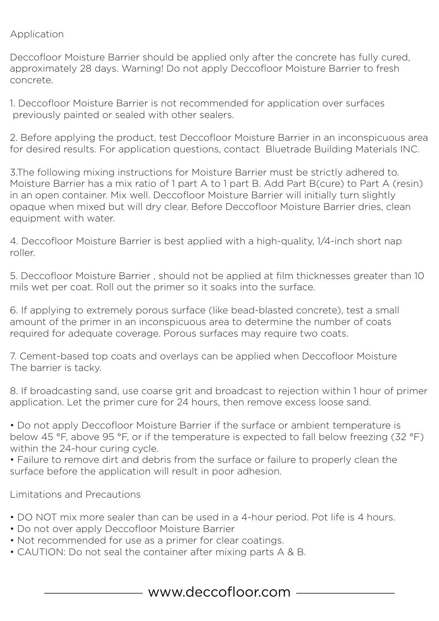# Application

Deccofloor Moisture Barrier should be applied only after the concrete has fully cured, approximately 28 days. Warning! Do not apply Deccofloor Moisture Barrier to fresh concrete.

1. Deccofloor Moisture Barrier is not recommended for application over surfaces previously painted or sealed with other sealers.

2. Before applying the product, test Deccofloor Moisture Barrier in an inconspicuous area for desired results. For application questions, contact Bluetrade Building Materials INC.

3.The following mixing instructions for Moisture Barrier must be strictly adhered to. Moisture Barrier has a mix ratio of 1 part A to 1 part B. Add Part B(cure) to Part A (resin) in an open container. Mix well. Deccofloor Moisture Barrier will initially turn slightly opaque when mixed but will dry clear. Before Deccofloor Moisture Barrier dries, clean equipment with water.

4. Deccofloor Moisture Barrier is best applied with a high-quality, 1⁄4-inch short nap roller.

5. Deccofloor Moisture Barrier , should not be applied at film thicknesses greater than 10 mils wet per coat. Roll out the primer so it soaks into the surface.

6. If applying to extremely porous surface (like bead-blasted concrete), test a small amount of the primer in an inconspicuous area to determine the number of coats required for adequate coverage. Porous surfaces may require two coats.

7. Cement-based top coats and overlays can be applied when Deccofloor Moisture The barrier is tacky.

8. If broadcasting sand, use coarse grit and broadcast to rejection within 1 hour of primer application. Let the primer cure for 24 hours, then remove excess loose sand.

• Do not apply Deccofloor Moisture Barrier if the surface or ambient temperature is below 45 °F, above 95 °F, or if the temperature is expected to fall below freezing (32 °F) within the 24-hour curing cycle.

• Failure to remove dirt and debris from the surface or failure to properly clean the surface before the application will result in poor adhesion.

Limitations and Precautions

- DO NOT mix more sealer than can be used in a 4-hour period. Pot life is 4 hours.
- Do not over apply Deccofloor Moisture Barrier
- Not recommended for use as a primer for clear coatings.
- CAUTION: Do not seal the container after mixing parts A & B.